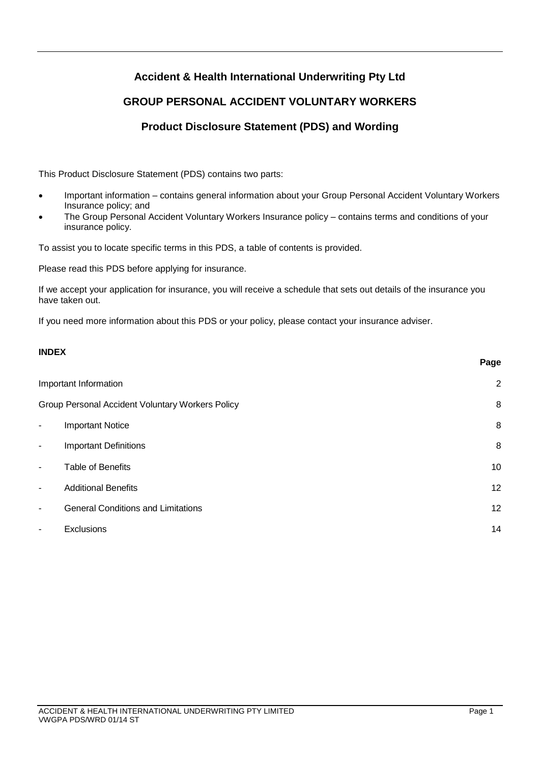# **Accident & Health International Underwriting Pty Ltd**

# **GROUP PERSONAL ACCIDENT VOLUNTARY WORKERS**

# **Product Disclosure Statement (PDS) and Wording**

This Product Disclosure Statement (PDS) contains two parts:

- Important information contains general information about your Group Personal Accident Voluntary Workers Insurance policy; and
- The Group Personal Accident Voluntary Workers Insurance policy contains terms and conditions of your insurance policy.

To assist you to locate specific terms in this PDS, a table of contents is provided.

Please read this PDS before applying for insurance.

If we accept your application for insurance, you will receive a schedule that sets out details of the insurance you have taken out.

If you need more information about this PDS or your policy, please contact your insurance adviser.

## **INDEX**

|                                                  |                                           | Page           |
|--------------------------------------------------|-------------------------------------------|----------------|
| Important Information                            |                                           | $\overline{2}$ |
| Group Personal Accident Voluntary Workers Policy |                                           | 8              |
| $\overline{\phantom{a}}$                         | <b>Important Notice</b>                   | 8              |
| $\overline{\phantom{a}}$                         | <b>Important Definitions</b>              | 8              |
| $\blacksquare$                                   | Table of Benefits                         | 10             |
| $\overline{\phantom{a}}$                         | <b>Additional Benefits</b>                | 12             |
| $\blacksquare$                                   | <b>General Conditions and Limitations</b> | 12             |
| ٠                                                | Exclusions                                | 14             |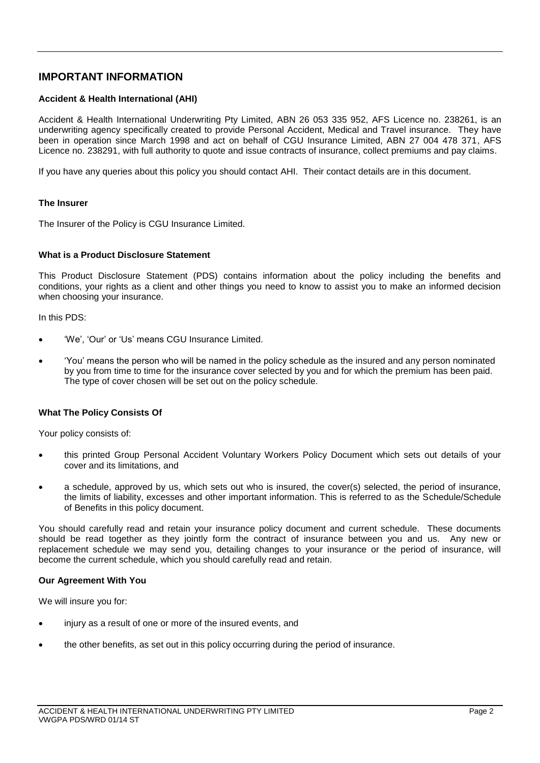## **IMPORTANT INFORMATION**

## **Accident & Health International (AHI)**

Accident & Health International Underwriting Pty Limited, ABN 26 053 335 952, AFS Licence no. 238261, is an underwriting agency specifically created to provide Personal Accident, Medical and Travel insurance. They have been in operation since March 1998 and act on behalf of CGU Insurance Limited, ABN 27 004 478 371, AFS Licence no. 238291, with full authority to quote and issue contracts of insurance, collect premiums and pay claims.

If you have any queries about this policy you should contact AHI. Their contact details are in this document.

### **The Insurer**

The Insurer of the Policy is CGU Insurance Limited.

## **What is a Product Disclosure Statement**

This Product Disclosure Statement (PDS) contains information about the policy including the benefits and conditions, your rights as a client and other things you need to know to assist you to make an informed decision when choosing your insurance.

In this PDS:

- 'We', 'Our' or 'Us' means CGU Insurance Limited.
- 'You' means the person who will be named in the policy schedule as the insured and any person nominated by you from time to time for the insurance cover selected by you and for which the premium has been paid. The type of cover chosen will be set out on the policy schedule.

## **What The Policy Consists Of**

Your policy consists of:

- this printed Group Personal Accident Voluntary Workers Policy Document which sets out details of your cover and its limitations, and
- a schedule, approved by us, which sets out who is insured, the cover(s) selected, the period of insurance, the limits of liability, excesses and other important information. This is referred to as the Schedule/Schedule of Benefits in this policy document.

You should carefully read and retain your insurance policy document and current schedule. These documents should be read together as they jointly form the contract of insurance between you and us. Any new or replacement schedule we may send you, detailing changes to your insurance or the period of insurance, will become the current schedule, which you should carefully read and retain.

#### **Our Agreement With You**

We will insure you for:

- injury as a result of one or more of the insured events, and
- the other benefits, as set out in this policy occurring during the period of insurance.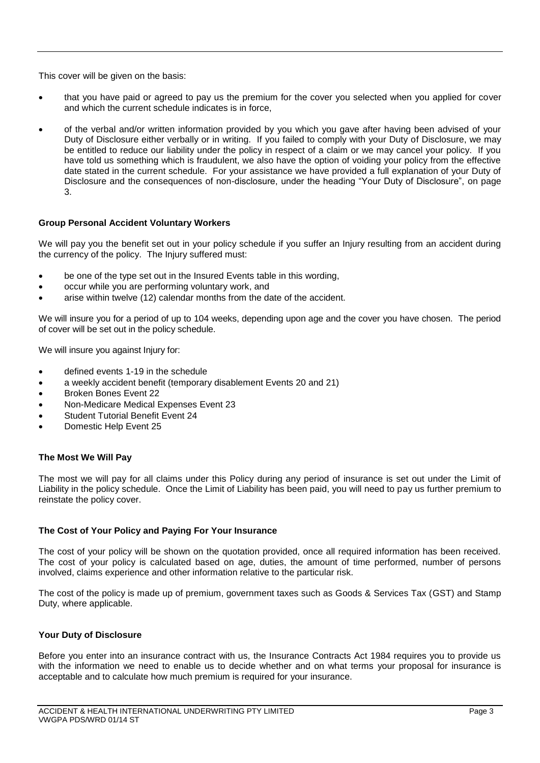This cover will be given on the basis:

- that you have paid or agreed to pay us the premium for the cover you selected when you applied for cover and which the current schedule indicates is in force,
- of the verbal and/or written information provided by you which you gave after having been advised of your Duty of Disclosure either verbally or in writing. If you failed to comply with your Duty of Disclosure, we may be entitled to reduce our liability under the policy in respect of a claim or we may cancel your policy. If you have told us something which is fraudulent, we also have the option of voiding your policy from the effective date stated in the current schedule. For your assistance we have provided a full explanation of your Duty of Disclosure and the consequences of non-disclosure, under the heading "Your Duty of Disclosure", on page 3.

## **Group Personal Accident Voluntary Workers**

We will pay you the benefit set out in your policy schedule if you suffer an Injury resulting from an accident during the currency of the policy. The Injury suffered must:

- be one of the type set out in the Insured Events table in this wording,
- occur while you are performing voluntary work, and
- arise within twelve (12) calendar months from the date of the accident.

We will insure you for a period of up to 104 weeks, depending upon age and the cover you have chosen. The period of cover will be set out in the policy schedule.

We will insure you against Injury for:

- defined events 1-19 in the schedule
- a weekly accident benefit (temporary disablement Events 20 and 21)
- Broken Bones Event 22
- Non-Medicare Medical Expenses Event 23
- Student Tutorial Benefit Event 24
- Domestic Help Event 25

## **The Most We Will Pay**

The most we will pay for all claims under this Policy during any period of insurance is set out under the Limit of Liability in the policy schedule. Once the Limit of Liability has been paid, you will need to pay us further premium to reinstate the policy cover.

### **The Cost of Your Policy and Paying For Your Insurance**

The cost of your policy will be shown on the quotation provided, once all required information has been received. The cost of your policy is calculated based on age, duties, the amount of time performed, number of persons involved, claims experience and other information relative to the particular risk.

The cost of the policy is made up of premium, government taxes such as Goods & Services Tax (GST) and Stamp Duty, where applicable.

## **Your Duty of Disclosure**

Before you enter into an insurance contract with us, the Insurance Contracts Act 1984 requires you to provide us with the information we need to enable us to decide whether and on what terms your proposal for insurance is acceptable and to calculate how much premium is required for your insurance.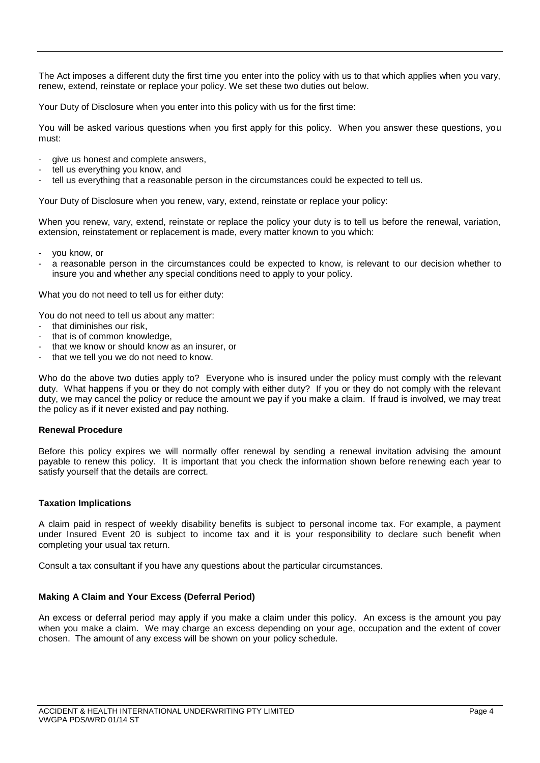The Act imposes a different duty the first time you enter into the policy with us to that which applies when you vary, renew, extend, reinstate or replace your policy. We set these two duties out below.

Your Duty of Disclosure when you enter into this policy with us for the first time:

You will be asked various questions when you first apply for this policy. When you answer these questions, you must:

- give us honest and complete answers,
- tell us everything you know, and
- tell us everything that a reasonable person in the circumstances could be expected to tell us.

Your Duty of Disclosure when you renew, vary, extend, reinstate or replace your policy:

When you renew, vary, extend, reinstate or replace the policy your duty is to tell us before the renewal, variation, extension, reinstatement or replacement is made, every matter known to you which:

- you know, or
- a reasonable person in the circumstances could be expected to know, is relevant to our decision whether to insure you and whether any special conditions need to apply to your policy.

What you do not need to tell us for either duty:

You do not need to tell us about any matter:

- that diminishes our risk,
- that is of common knowledge.
- that we know or should know as an insurer, or
- that we tell you we do not need to know.

Who do the above two duties apply to? Everyone who is insured under the policy must comply with the relevant duty. What happens if you or they do not comply with either duty? If you or they do not comply with the relevant duty, we may cancel the policy or reduce the amount we pay if you make a claim. If fraud is involved, we may treat the policy as if it never existed and pay nothing.

#### **Renewal Procedure**

Before this policy expires we will normally offer renewal by sending a renewal invitation advising the amount payable to renew this policy. It is important that you check the information shown before renewing each year to satisfy yourself that the details are correct.

#### **Taxation Implications**

A claim paid in respect of weekly disability benefits is subject to personal income tax. For example, a payment under Insured Event 20 is subject to income tax and it is your responsibility to declare such benefit when completing your usual tax return.

Consult a tax consultant if you have any questions about the particular circumstances.

## **Making A Claim and Your Excess (Deferral Period)**

An excess or deferral period may apply if you make a claim under this policy. An excess is the amount you pay when you make a claim. We may charge an excess depending on your age, occupation and the extent of cover chosen. The amount of any excess will be shown on your policy schedule.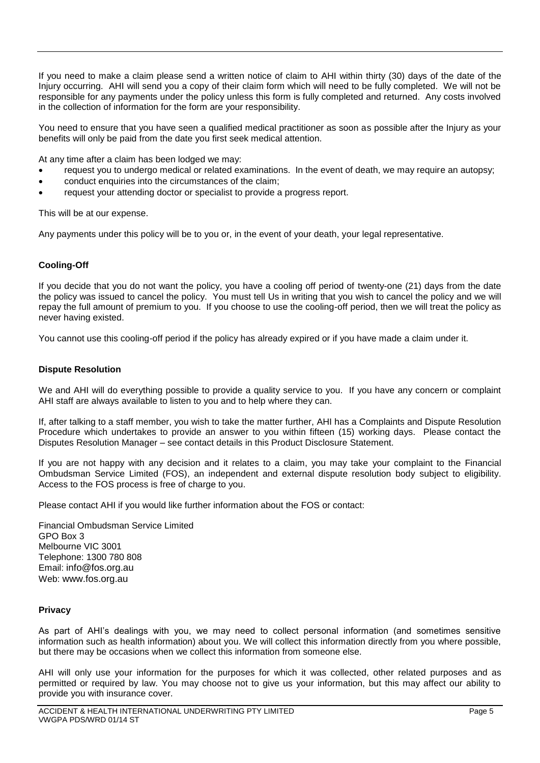If you need to make a claim please send a written notice of claim to AHI within thirty (30) days of the date of the Injury occurring. AHI will send you a copy of their claim form which will need to be fully completed. We will not be responsible for any payments under the policy unless this form is fully completed and returned. Any costs involved in the collection of information for the form are your responsibility.

You need to ensure that you have seen a qualified medical practitioner as soon as possible after the Injury as your benefits will only be paid from the date you first seek medical attention.

At any time after a claim has been lodged we may:

- request you to undergo medical or related examinations. In the event of death, we may require an autopsy;
- conduct enquiries into the circumstances of the claim;
- request your attending doctor or specialist to provide a progress report.

This will be at our expense.

Any payments under this policy will be to you or, in the event of your death, your legal representative.

### **Cooling-Off**

If you decide that you do not want the policy, you have a cooling off period of twenty-one (21) days from the date the policy was issued to cancel the policy. You must tell Us in writing that you wish to cancel the policy and we will repay the full amount of premium to you. If you choose to use the cooling-off period, then we will treat the policy as never having existed.

You cannot use this cooling-off period if the policy has already expired or if you have made a claim under it.

### **Dispute Resolution**

We and AHI will do everything possible to provide a quality service to you. If you have any concern or complaint AHI staff are always available to listen to you and to help where they can.

If, after talking to a staff member, you wish to take the matter further, AHI has a Complaints and Dispute Resolution Procedure which undertakes to provide an answer to you within fifteen (15) working days. Please contact the Disputes Resolution Manager – see contact details in this Product Disclosure Statement.

If you are not happy with any decision and it relates to a claim, you may take your complaint to the Financial Ombudsman Service Limited (FOS), an independent and external dispute resolution body subject to eligibility. Access to the FOS process is free of charge to you.

Please contact AHI if you would like further information about the FOS or contact:

Financial Ombudsman Service Limited GPO Box 3 Melbourne VIC 3001 Telephone: 1300 780 808 Email: [info@fos.org.au](mailto:info@fos.org.au) Web: [www.fos.org.au](http://www.fos.org.au/)

#### **Privacy**

As part of AHI's dealings with you, we may need to collect personal information (and sometimes sensitive information such as health information) about you. We will collect this information directly from you where possible, but there may be occasions when we collect this information from someone else.

AHI will only use your information for the purposes for which it was collected, other related purposes and as permitted or required by law. You may choose not to give us your information, but this may affect our ability to provide you with insurance cover.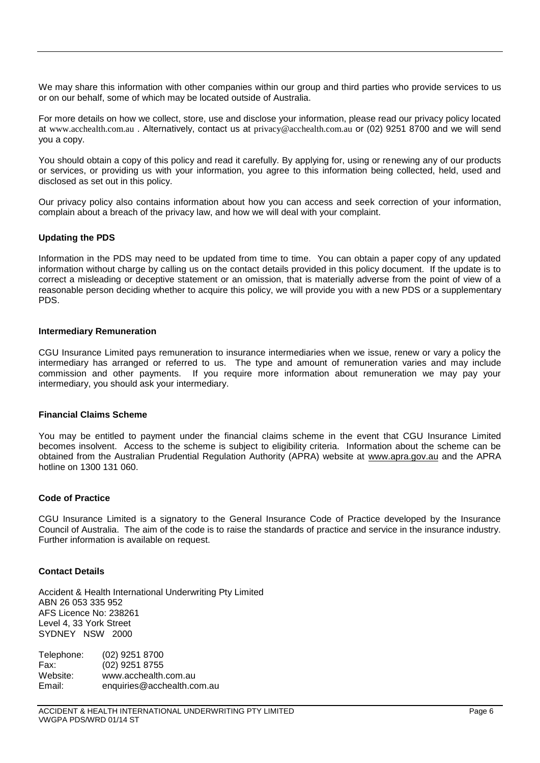We may share this information with other companies within our group and third parties who provide services to us or on our behalf, some of which may be located outside of Australia.

For more details on how we collect, store, use and disclose your information, please read our privacy policy located at [www.acchealth.com.au](http://www.acchealth.com.au/) . Alternatively, contact us at [privacy@acchealth.com.au](mailto:privacy@acchealth.com.au) or (02) 9251 8700 and we will send you a copy.

You should obtain a copy of this policy and read it carefully. By applying for, using or renewing any of our products or services, or providing us with your information, you agree to this information being collected, held, used and disclosed as set out in this policy.

Our privacy policy also contains information about how you can access and seek correction of your information, complain about a breach of the privacy law, and how we will deal with your complaint.

### **Updating the PDS**

Information in the PDS may need to be updated from time to time. You can obtain a paper copy of any updated information without charge by calling us on the contact details provided in this policy document. If the update is to correct a misleading or deceptive statement or an omission, that is materially adverse from the point of view of a reasonable person deciding whether to acquire this policy, we will provide you with a new PDS or a supplementary PDS.

#### **Intermediary Remuneration**

CGU Insurance Limited pays remuneration to insurance intermediaries when we issue, renew or vary a policy the intermediary has arranged or referred to us. The type and amount of remuneration varies and may include commission and other payments. If you require more information about remuneration we may pay your intermediary, you should ask your intermediary.

#### **Financial Claims Scheme**

You may be entitled to payment under the financial claims scheme in the event that CGU Insurance Limited becomes insolvent. Access to the scheme is subject to eligibility criteria. Information about the scheme can be obtained from the Australian Prudential Regulation Authority (APRA) website at [www.apra.gov.au](http://www.apra.gov.au/) and the APRA hotline on 1300 131 060.

#### **Code of Practice**

CGU Insurance Limited is a signatory to the General Insurance Code of Practice developed by the Insurance Council of Australia. The aim of the code is to raise the standards of practice and service in the insurance industry. Further information is available on request.

#### **Contact Details**

Accident & Health International Underwriting Pty Limited ABN 26 053 335 952 AFS Licence No: 238261 Level 4, 33 York Street SYDNEY NSW 2000

Telephone: (02) 9251 8700 Fax: (02) 9251 8755 Website: [www.acchealth.com.au](http://www.acchealth.com.au/) Email: enquiries@acchealth.com.au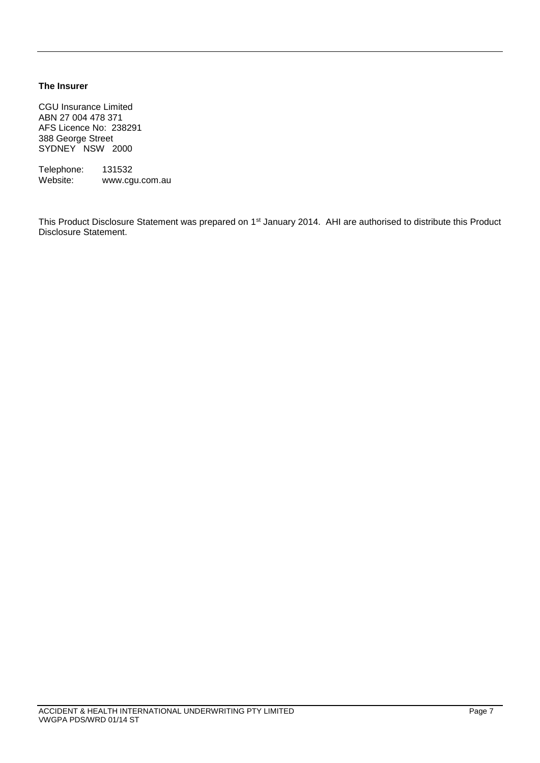## **The Insurer**

CGU Insurance Limited ABN 27 004 478 371 AFS Licence No: 238291 388 George Street SYDNEY NSW 2000

Telephone: 131532<br>Website: www.cg www.cgu.com.au

This Product Disclosure Statement was prepared on 1<sup>st</sup> January 2014. AHI are authorised to distribute this Product Disclosure Statement.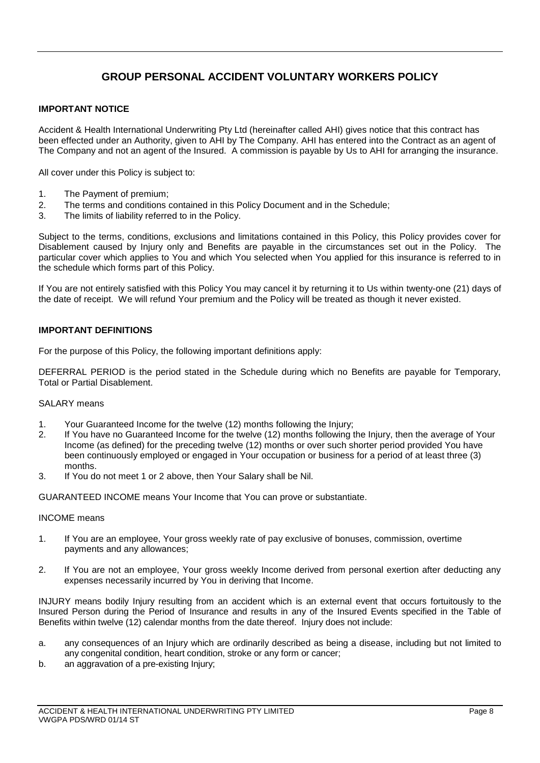# **GROUP PERSONAL ACCIDENT VOLUNTARY WORKERS POLICY**

## **IMPORTANT NOTICE**

Accident & Health International Underwriting Pty Ltd (hereinafter called AHI) gives notice that this contract has been effected under an Authority, given to AHI by The Company. AHI has entered into the Contract as an agent of The Company and not an agent of the Insured. A commission is payable by Us to AHI for arranging the insurance.

All cover under this Policy is subject to:

- 1. The Payment of premium;<br>2. The terms and conditions of
- The terms and conditions contained in this Policy Document and in the Schedule;
- 3. The limits of liability referred to in the Policy.

Subject to the terms, conditions, exclusions and limitations contained in this Policy, this Policy provides cover for Disablement caused by Injury only and Benefits are payable in the circumstances set out in the Policy. The particular cover which applies to You and which You selected when You applied for this insurance is referred to in the schedule which forms part of this Policy.

If You are not entirely satisfied with this Policy You may cancel it by returning it to Us within twenty-one (21) days of the date of receipt. We will refund Your premium and the Policy will be treated as though it never existed.

## **IMPORTANT DEFINITIONS**

For the purpose of this Policy, the following important definitions apply:

DEFERRAL PERIOD is the period stated in the Schedule during which no Benefits are payable for Temporary, Total or Partial Disablement.

### SALARY means

- 1. Your Guaranteed Income for the twelve (12) months following the Injury;
- 2. If You have no Guaranteed Income for the twelve (12) months following the Injury, then the average of Your Income (as defined) for the preceding twelve (12) months or over such shorter period provided You have been continuously employed or engaged in Your occupation or business for a period of at least three (3) months.
- 3. If You do not meet 1 or 2 above, then Your Salary shall be Nil.

GUARANTEED INCOME means Your Income that You can prove or substantiate.

#### INCOME means

- 1. If You are an employee, Your gross weekly rate of pay exclusive of bonuses, commission, overtime payments and any allowances;
- 2. If You are not an employee, Your gross weekly Income derived from personal exertion after deducting any expenses necessarily incurred by You in deriving that Income.

INJURY means bodily Injury resulting from an accident which is an external event that occurs fortuitously to the Insured Person during the Period of Insurance and results in any of the Insured Events specified in the Table of Benefits within twelve (12) calendar months from the date thereof. Injury does not include:

- a. any consequences of an Injury which are ordinarily described as being a disease, including but not limited to any congenital condition, heart condition, stroke or any form or cancer;
- b. an aggravation of a pre-existing Injury;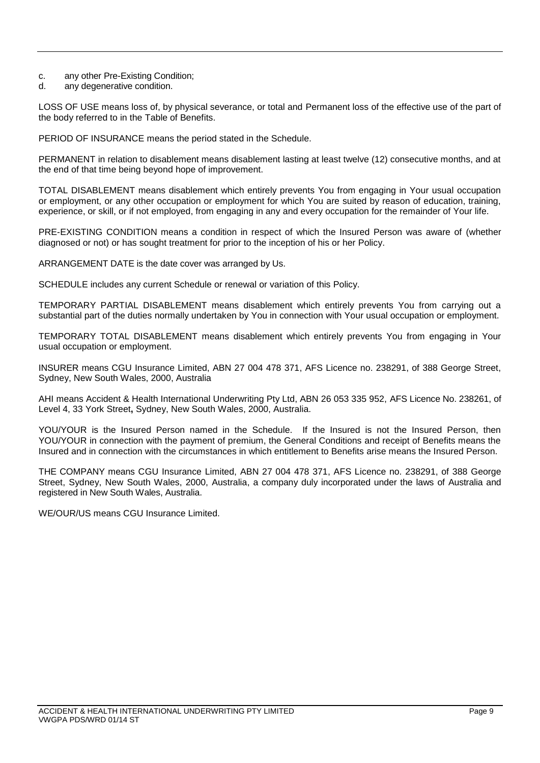- c. any other Pre-Existing Condition;
- d. any degenerative condition.

LOSS OF USE means loss of, by physical severance, or total and Permanent loss of the effective use of the part of the body referred to in the Table of Benefits.

PERIOD OF INSURANCE means the period stated in the Schedule.

PERMANENT in relation to disablement means disablement lasting at least twelve (12) consecutive months, and at the end of that time being beyond hope of improvement.

TOTAL DISABLEMENT means disablement which entirely prevents You from engaging in Your usual occupation or employment, or any other occupation or employment for which You are suited by reason of education, training, experience, or skill, or if not employed, from engaging in any and every occupation for the remainder of Your life.

PRE-EXISTING CONDITION means a condition in respect of which the Insured Person was aware of (whether diagnosed or not) or has sought treatment for prior to the inception of his or her Policy.

ARRANGEMENT DATE is the date cover was arranged by Us.

SCHEDULE includes any current Schedule or renewal or variation of this Policy.

TEMPORARY PARTIAL DISABLEMENT means disablement which entirely prevents You from carrying out a substantial part of the duties normally undertaken by You in connection with Your usual occupation or employment.

TEMPORARY TOTAL DISABLEMENT means disablement which entirely prevents You from engaging in Your usual occupation or employment.

INSURER means CGU Insurance Limited, ABN 27 004 478 371, AFS Licence no. 238291, of 388 George Street, Sydney, New South Wales, 2000, Australia

AHI means Accident & Health International Underwriting Pty Ltd, ABN 26 053 335 952, AFS Licence No. 238261, of Level 4, 33 York Street**,** Sydney, New South Wales, 2000, Australia.

YOU/YOUR is the Insured Person named in the Schedule. If the Insured is not the Insured Person, then YOU/YOUR in connection with the payment of premium, the General Conditions and receipt of Benefits means the Insured and in connection with the circumstances in which entitlement to Benefits arise means the Insured Person.

THE COMPANY means CGU Insurance Limited, ABN 27 004 478 371, AFS Licence no. 238291, of 388 George Street, Sydney, New South Wales, 2000, Australia, a company duly incorporated under the laws of Australia and registered in New South Wales, Australia.

WE/OUR/US means CGU Insurance Limited.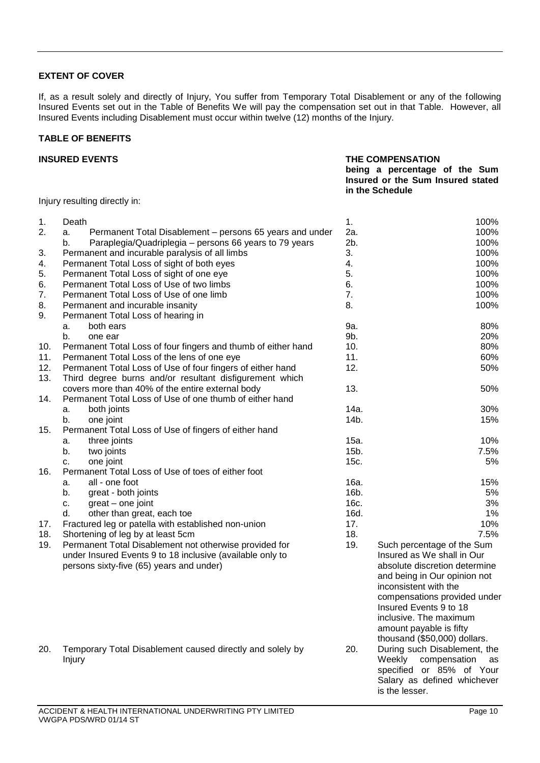## **EXTENT OF COVER**

If, as a result solely and directly of Injury, You suffer from Temporary Total Disablement or any of the following Insured Events set out in the Table of Benefits We will pay the compensation set out in that Table. However, all Insured Events including Disablement must occur within twelve (12) months of the Injury.

## **TABLE OF BENEFITS**

#### **INSURED EVENTS THE COMPENSATION being a percentage of the Sum Insured or the Sum Insured stated in the Schedule**

Injury resulting directly in:

| 1.  | Death                                                          | 1.           | 100%                          |
|-----|----------------------------------------------------------------|--------------|-------------------------------|
| 2.  | Permanent Total Disablement - persons 65 years and under<br>a. | 2a.          | 100%                          |
|     | Paraplegia/Quadriplegia - persons 66 years to 79 years<br>b.   | 2b.          | 100%                          |
| 3.  | Permanent and incurable paralysis of all limbs                 | 3.           | 100%                          |
| 4.  | Permanent Total Loss of sight of both eyes                     | 4.           | 100%                          |
| 5.  | Permanent Total Loss of sight of one eye                       | 5.           | 100%                          |
| 6.  | Permanent Total Loss of Use of two limbs                       | 6.           | 100%                          |
| 7.  | Permanent Total Loss of Use of one limb                        | 7.           | 100%                          |
| 8.  | Permanent and incurable insanity                               | 8.           | 100%                          |
| 9.  | Permanent Total Loss of hearing in                             |              |                               |
|     | both ears<br>a.                                                | 9a.          | 80%                           |
|     | b.<br>one ear                                                  | 9b.          | 20%                           |
| 10. | Permanent Total Loss of four fingers and thumb of either hand  | 10.          | 80%                           |
| 11. | Permanent Total Loss of the lens of one eye                    | 11.          | 60%                           |
| 12. | Permanent Total Loss of Use of four fingers of either hand     | 12.          | 50%                           |
| 13. | Third degree burns and/or resultant disfigurement which        |              |                               |
|     |                                                                | 13.          | 50%                           |
|     | covers more than 40% of the entire external body               |              |                               |
| 14. | Permanent Total Loss of Use of one thumb of either hand        |              |                               |
|     | both joints<br>а.                                              | 14a.<br>14b. | 30%                           |
|     | b.<br>one joint                                                |              | 15%                           |
| 15. | Permanent Total Loss of Use of fingers of either hand          |              |                               |
|     | three joints<br>a.                                             | 15a.         | 10%                           |
|     | b.<br>two joints                                               | 15b.         | 7.5%                          |
|     | one joint<br>c.                                                | 15c.         | 5%                            |
| 16. | Permanent Total Loss of Use of toes of either foot             |              |                               |
|     | all - one foot<br>a.                                           | 16a.         | 15%                           |
|     | b.<br>great - both joints                                      | 16b.         | 5%                            |
|     | great – one joint<br>c.                                        | 16c.         | 3%                            |
|     | d.<br>other than great, each toe                               | 16d.         | 1%                            |
| 17. | Fractured leg or patella with established non-union            | 17.          | 10%                           |
| 18. | Shortening of leg by at least 5cm                              | 18.          | 7.5%                          |
| 19. | Permanent Total Disablement not otherwise provided for         | 19.          | Such percentage of the Sum    |
|     | under Insured Events 9 to 18 inclusive (available only to      |              | Insured as We shall in Our    |
|     | persons sixty-five (65) years and under)                       |              | absolute discretion determine |
|     |                                                                |              | and being in Our opinion not  |
|     |                                                                |              | inconsistent with the         |
|     |                                                                |              | compensations provided under  |
|     |                                                                |              | Insured Events 9 to 18        |
|     |                                                                |              | inclusive. The maximum        |
|     |                                                                |              | amount payable is fifty       |
|     |                                                                |              | thousand (\$50,000) dollars.  |
| 20. | Temporary Total Disablement caused directly and solely by      | 20.          | During such Disablement, the  |
|     | Injury                                                         |              | Weekly compensation<br>as     |
|     |                                                                |              | specified or 85% of Your      |
|     |                                                                |              | Salary as defined whichever   |
|     |                                                                |              | is the lesser.                |

VWGPA PDS/WRD 01/14 ST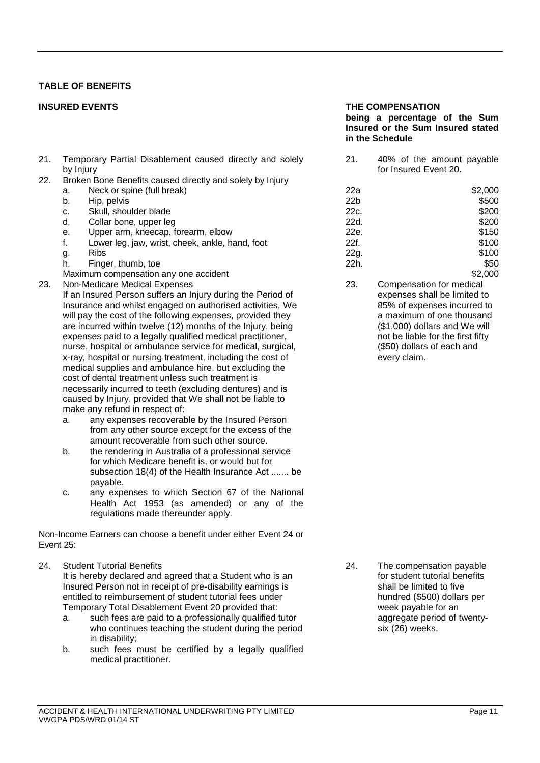## **TABLE OF BENEFITS**

- 21. Temporary Partial Disablement caused directly and solely by Injury
- 22. Broken Bone Benefits caused directly and solely by Injury
	- a. Neck or spine (full break)
	-
	- c. Skull, shoulder blade<br>d. Collar bone, upper led
	- Collar bone, upper leg
	- e. Upper arm, kneecap, forearm, elbow
	- f. Lower leg, jaw, wrist, cheek, ankle, hand, foot a. Ribs
	-
	- h. Finger, thumb, toe
	- Maximum compensation any one accident<br>
	Non-Medicare Medical Expenses<br>
	23,
- 23. Non-Medicare Medical Expenses

If an Insured Person suffers an Injury during the Period of Insurance and whilst engaged on authorised activities, We will pay the cost of the following expenses, provided they are incurred within twelve (12) months of the Injury, being expenses paid to a legally qualified medical practitioner, nurse, hospital or ambulance service for medical, surgical, x-ray, hospital or nursing treatment, including the cost of medical supplies and ambulance hire, but excluding the cost of dental treatment unless such treatment is necessarily incurred to teeth (excluding dentures) and is caused by Injury, provided that We shall not be liable to make any refund in respect of:

- a. any expenses recoverable by the Insured Person from any other source except for the excess of the amount recoverable from such other source.
- b. the rendering in Australia of a professional service for which Medicare benefit is, or would but for subsection 18(4) of the Health Insurance Act ....... be payable.
- c. any expenses to which Section 67 of the National Health Act 1953 (as amended) or any of the regulations made thereunder apply.

Non-Income Earners can choose a benefit under either Event 24 or Event 25:

24. Student Tutorial Benefits

It is hereby declared and agreed that a Student who is an Insured Person not in receipt of pre-disability earnings is entitled to reimbursement of student tutorial fees under Temporary Total Disablement Event 20 provided that:

- a. such fees are paid to a professionally qualified tutor who continues teaching the student during the period in disability;
- b. such fees must be certified by a legally qualified medical practitioner.

#### **INSURED EVENTS THE COMPENSATION**

#### **being a percentage of the Sum Insured or the Sum Insured stated in the Schedule**

21. 40% of the amount payable for Insured Event 20.

| a.                                    | Neck or spine (full break)                      | 22a             | \$2,000 |
|---------------------------------------|-------------------------------------------------|-----------------|---------|
| b.                                    | Hip, pelvis                                     | 22 <sub>b</sub> | \$500   |
| c.                                    | Skull, shoulder blade                           | 22c.            | \$200   |
| d.                                    | Collar bone, upper leg                          | 22d.            | \$200   |
| e.                                    | Upper arm, kneecap, forearm, elbow              | 22e.            | \$150   |
| f.                                    | Lower leg, jaw, wrist, cheek, ankle, hand, foot | 22f.            | \$100   |
| g.                                    | <b>Ribs</b>                                     | 22g.            | \$100   |
| h.                                    | Finger, thumb, toe                              | 22h.            | \$50    |
| Maximum compensation any one accident | \$2.000                                         |                 |         |

Compensation for medical expenses shall be limited to 85% of expenses incurred to a maximum of one thousand (\$1,000) dollars and We will not be liable for the first fifty (\$50) dollars of each and every claim.

24. The compensation payable for student tutorial benefits shall be limited to five hundred (\$500) dollars per week payable for an aggregate period of twentysix (26) weeks.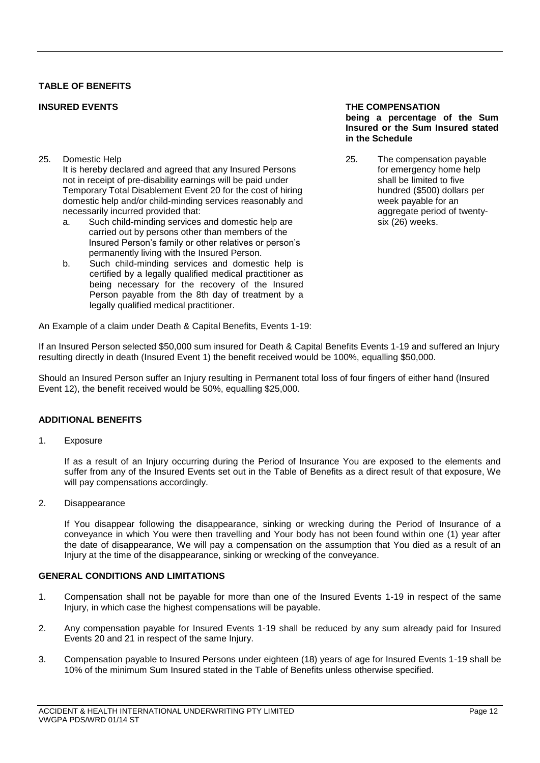## **TABLE OF BENEFITS**

25. Domestic Help

It is hereby declared and agreed that any Insured Persons not in receipt of pre-disability earnings will be paid under Temporary Total Disablement Event 20 for the cost of hiring domestic help and/or child-minding services reasonably and necessarily incurred provided that:

- a. Such child-minding services and domestic help are carried out by persons other than members of the Insured Person's family or other relatives or person's permanently living with the Insured Person.
- b. Such child-minding services and domestic help is certified by a legally qualified medical practitioner as being necessary for the recovery of the Insured Person payable from the 8th day of treatment by a legally qualified medical practitioner.

#### **INSURED EVENTS THE COMPENSATION being a percentage of the Sum Insured or the Sum Insured stated in the Schedule**

25. The compensation payable for emergency home help shall be limited to five hundred (\$500) dollars per week payable for an aggregate period of twentysix (26) weeks.

An Example of a claim under Death & Capital Benefits, Events 1-19:

If an Insured Person selected \$50,000 sum insured for Death & Capital Benefits Events 1-19 and suffered an Injury resulting directly in death (Insured Event 1) the benefit received would be 100%, equalling \$50,000.

Should an Insured Person suffer an Injury resulting in Permanent total loss of four fingers of either hand (Insured Event 12), the benefit received would be 50%, equalling \$25,000.

## **ADDITIONAL BENEFITS**

1. Exposure

If as a result of an Injury occurring during the Period of Insurance You are exposed to the elements and suffer from any of the Insured Events set out in the Table of Benefits as a direct result of that exposure, We will pay compensations accordingly.

2. Disappearance

If You disappear following the disappearance, sinking or wrecking during the Period of Insurance of a conveyance in which You were then travelling and Your body has not been found within one (1) year after the date of disappearance, We will pay a compensation on the assumption that You died as a result of an Injury at the time of the disappearance, sinking or wrecking of the conveyance.

## **GENERAL CONDITIONS AND LIMITATIONS**

- 1. Compensation shall not be payable for more than one of the Insured Events 1-19 in respect of the same Injury, in which case the highest compensations will be payable.
- 2. Any compensation payable for Insured Events 1-19 shall be reduced by any sum already paid for Insured Events 20 and 21 in respect of the same Injury.
- 3. Compensation payable to Insured Persons under eighteen (18) years of age for Insured Events 1-19 shall be 10% of the minimum Sum Insured stated in the Table of Benefits unless otherwise specified.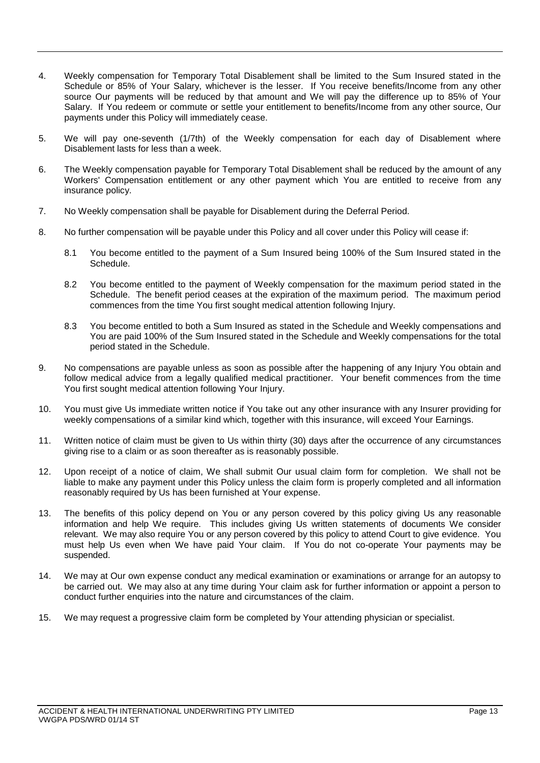- 4. Weekly compensation for Temporary Total Disablement shall be limited to the Sum Insured stated in the Schedule or 85% of Your Salary, whichever is the lesser. If You receive benefits/Income from any other source Our payments will be reduced by that amount and We will pay the difference up to 85% of Your Salary. If You redeem or commute or settle your entitlement to benefits/Income from any other source, Our payments under this Policy will immediately cease.
- 5. We will pay one-seventh (1/7th) of the Weekly compensation for each day of Disablement where Disablement lasts for less than a week.
- 6. The Weekly compensation payable for Temporary Total Disablement shall be reduced by the amount of any Workers' Compensation entitlement or any other payment which You are entitled to receive from any insurance policy.
- 7. No Weekly compensation shall be payable for Disablement during the Deferral Period.
- 8. No further compensation will be payable under this Policy and all cover under this Policy will cease if:
	- 8.1 You become entitled to the payment of a Sum Insured being 100% of the Sum Insured stated in the Schedule.
	- 8.2 You become entitled to the payment of Weekly compensation for the maximum period stated in the Schedule. The benefit period ceases at the expiration of the maximum period. The maximum period commences from the time You first sought medical attention following Injury.
	- 8.3 You become entitled to both a Sum Insured as stated in the Schedule and Weekly compensations and You are paid 100% of the Sum Insured stated in the Schedule and Weekly compensations for the total period stated in the Schedule.
- 9. No compensations are payable unless as soon as possible after the happening of any Injury You obtain and follow medical advice from a legally qualified medical practitioner. Your benefit commences from the time You first sought medical attention following Your Injury.
- 10. You must give Us immediate written notice if You take out any other insurance with any Insurer providing for weekly compensations of a similar kind which, together with this insurance, will exceed Your Earnings.
- 11. Written notice of claim must be given to Us within thirty (30) days after the occurrence of any circumstances giving rise to a claim or as soon thereafter as is reasonably possible.
- 12. Upon receipt of a notice of claim, We shall submit Our usual claim form for completion. We shall not be liable to make any payment under this Policy unless the claim form is properly completed and all information reasonably required by Us has been furnished at Your expense.
- 13. The benefits of this policy depend on You or any person covered by this policy giving Us any reasonable information and help We require. This includes giving Us written statements of documents We consider relevant. We may also require You or any person covered by this policy to attend Court to give evidence. You must help Us even when We have paid Your claim. If You do not co-operate Your payments may be suspended.
- 14. We may at Our own expense conduct any medical examination or examinations or arrange for an autopsy to be carried out. We may also at any time during Your claim ask for further information or appoint a person to conduct further enquiries into the nature and circumstances of the claim.
- 15. We may request a progressive claim form be completed by Your attending physician or specialist.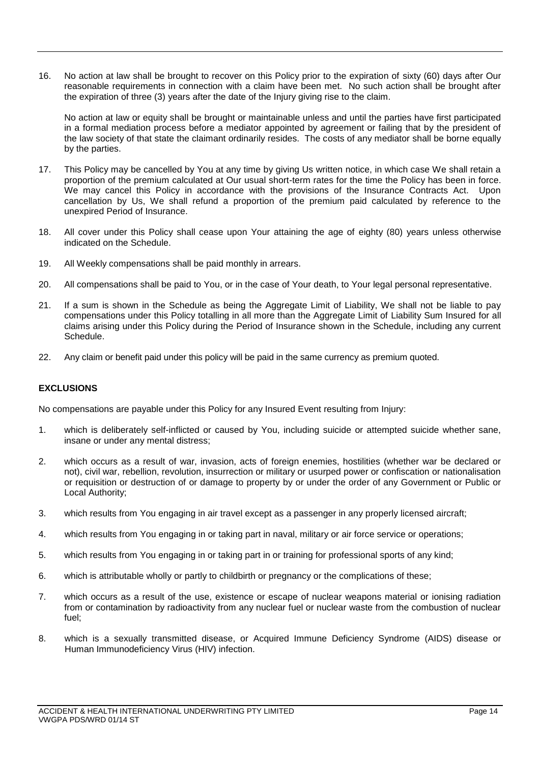16. No action at law shall be brought to recover on this Policy prior to the expiration of sixty (60) days after Our reasonable requirements in connection with a claim have been met. No such action shall be brought after the expiration of three (3) years after the date of the Injury giving rise to the claim.

No action at law or equity shall be brought or maintainable unless and until the parties have first participated in a formal mediation process before a mediator appointed by agreement or failing that by the president of the law society of that state the claimant ordinarily resides. The costs of any mediator shall be borne equally by the parties.

- 17. This Policy may be cancelled by You at any time by giving Us written notice, in which case We shall retain a proportion of the premium calculated at Our usual short-term rates for the time the Policy has been in force. We may cancel this Policy in accordance with the provisions of the Insurance Contracts Act. Upon cancellation by Us, We shall refund a proportion of the premium paid calculated by reference to the unexpired Period of Insurance.
- 18. All cover under this Policy shall cease upon Your attaining the age of eighty (80) years unless otherwise indicated on the Schedule.
- 19. All Weekly compensations shall be paid monthly in arrears.
- 20. All compensations shall be paid to You, or in the case of Your death, to Your legal personal representative.
- 21. If a sum is shown in the Schedule as being the Aggregate Limit of Liability, We shall not be liable to pay compensations under this Policy totalling in all more than the Aggregate Limit of Liability Sum Insured for all claims arising under this Policy during the Period of Insurance shown in the Schedule, including any current Schedule.
- 22. Any claim or benefit paid under this policy will be paid in the same currency as premium quoted.

## **EXCLUSIONS**

No compensations are payable under this Policy for any Insured Event resulting from Injury:

- 1. which is deliberately self-inflicted or caused by You, including suicide or attempted suicide whether sane, insane or under any mental distress;
- 2. which occurs as a result of war, invasion, acts of foreign enemies, hostilities (whether war be declared or not), civil war, rebellion, revolution, insurrection or military or usurped power or confiscation or nationalisation or requisition or destruction of or damage to property by or under the order of any Government or Public or Local Authority;
- 3. which results from You engaging in air travel except as a passenger in any properly licensed aircraft;
- 4. which results from You engaging in or taking part in naval, military or air force service or operations;
- 5. which results from You engaging in or taking part in or training for professional sports of any kind;
- 6. which is attributable wholly or partly to childbirth or pregnancy or the complications of these;
- 7. which occurs as a result of the use, existence or escape of nuclear weapons material or ionising radiation from or contamination by radioactivity from any nuclear fuel or nuclear waste from the combustion of nuclear fuel;
- 8. which is a sexually transmitted disease, or Acquired Immune Deficiency Syndrome (AIDS) disease or Human Immunodeficiency Virus (HIV) infection.